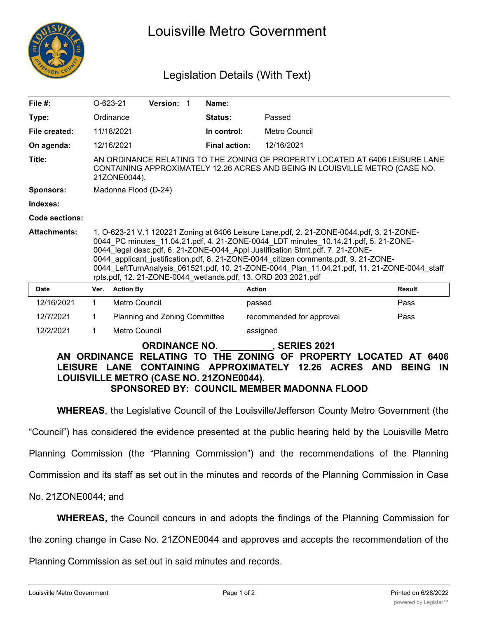

# Louisville Metro Government

## Legislation Details (With Text)

| File $#$ :                            | $O-623-21$                                                                                                                                                                                                                                                                                                                                                                                                                                                                                                               |                  | Version: 1                    |  | Name:                |                          |               |
|---------------------------------------|--------------------------------------------------------------------------------------------------------------------------------------------------------------------------------------------------------------------------------------------------------------------------------------------------------------------------------------------------------------------------------------------------------------------------------------------------------------------------------------------------------------------------|------------------|-------------------------------|--|----------------------|--------------------------|---------------|
| Type:                                 |                                                                                                                                                                                                                                                                                                                                                                                                                                                                                                                          | Ordinance        |                               |  | Status:              | Passed                   |               |
| File created:                         |                                                                                                                                                                                                                                                                                                                                                                                                                                                                                                                          | 11/18/2021       |                               |  | In control:          | Metro Council            |               |
| On agenda:                            |                                                                                                                                                                                                                                                                                                                                                                                                                                                                                                                          | 12/16/2021       |                               |  | <b>Final action:</b> | 12/16/2021               |               |
| Title:                                | AN ORDINANCE RELATING TO THE ZONING OF PROPERTY LOCATED AT 6406 LEISURE LANE<br>CONTAINING APPROXIMATELY 12.26 ACRES AND BEING IN LOUISVILLE METRO (CASE NO.<br>21ZONE0044).                                                                                                                                                                                                                                                                                                                                             |                  |                               |  |                      |                          |               |
| <b>Sponsors:</b>                      | Madonna Flood (D-24)                                                                                                                                                                                                                                                                                                                                                                                                                                                                                                     |                  |                               |  |                      |                          |               |
| Indexes:                              |                                                                                                                                                                                                                                                                                                                                                                                                                                                                                                                          |                  |                               |  |                      |                          |               |
| Code sections:                        |                                                                                                                                                                                                                                                                                                                                                                                                                                                                                                                          |                  |                               |  |                      |                          |               |
| <b>Attachments:</b>                   | 1. O-623-21 V.1 120221 Zoning at 6406 Leisure Lane.pdf, 2. 21-ZONE-0044.pdf, 3. 21-ZONE-<br>0044_PC minutes_11.04.21.pdf, 4. 21-ZONE-0044_LDT minutes_10.14.21.pdf, 5. 21-ZONE-<br>0044 legal desc.pdf, 6. 21-ZONE-0044_Appl Justification Stmt.pdf, 7. 21-ZONE-<br>0044 applicant justification.pdf, 8. 21-ZONE-0044 citizen comments.pdf, 9. 21-ZONE-<br>0044 LeftTurnAnalysis 061521.pdf, 10. 21-ZONE-0044 Plan 11.04.21.pdf, 11. 21-ZONE-0044 staff<br>rpts.pdf, 12. 21-ZONE-0044 wetlands.pdf, 13. ORD 203 2021.pdf |                  |                               |  |                      |                          |               |
| <b>Date</b>                           | Ver.                                                                                                                                                                                                                                                                                                                                                                                                                                                                                                                     | <b>Action By</b> |                               |  |                      | <b>Action</b>            | <b>Result</b> |
| 12/16/2021                            | $\mathbf{1}$                                                                                                                                                                                                                                                                                                                                                                                                                                                                                                             | Metro Council    |                               |  |                      | passed                   | Pass          |
| 12/7/2021                             | 1                                                                                                                                                                                                                                                                                                                                                                                                                                                                                                                        |                  | Planning and Zoning Committee |  |                      | recommended for approval | Pass          |
| 12/2/2021                             | $\mathbf 1$                                                                                                                                                                                                                                                                                                                                                                                                                                                                                                              | Metro Council    |                               |  |                      | assigned                 |               |
| <b>ORDINANCE NO.</b><br>, SERIES 2021 |                                                                                                                                                                                                                                                                                                                                                                                                                                                                                                                          |                  |                               |  |                      |                          |               |

#### **AN ORDINANCE RELATING TO THE ZONING OF PROPERTY LOCATED AT 6406 LEISURE LANE CONTAINING APPROXIMATELY 12.26 ACRES AND BEING IN LOUISVILLE METRO (CASE NO. 21ZONE0044). SPONSORED BY: COUNCIL MEMBER MADONNA FLOOD**

**WHEREAS**, the Legislative Council of the Louisville/Jefferson County Metro Government (the

"Council") has considered the evidence presented at the public hearing held by the Louisville Metro

Planning Commission (the "Planning Commission") and the recommendations of the Planning

Commission and its staff as set out in the minutes and records of the Planning Commission in Case

No. 21ZONE0044; and

**WHEREAS,** the Council concurs in and adopts the findings of the Planning Commission for

**NOW, THEREFORE, BE IT ORDAINED BY THE LEGISLATIVE COUNCIL OF THE**

the zoning change in Case No. 21ZONE0044 and approves and accepts the recommendation of the

Planning Commission as set out in said minutes and records.